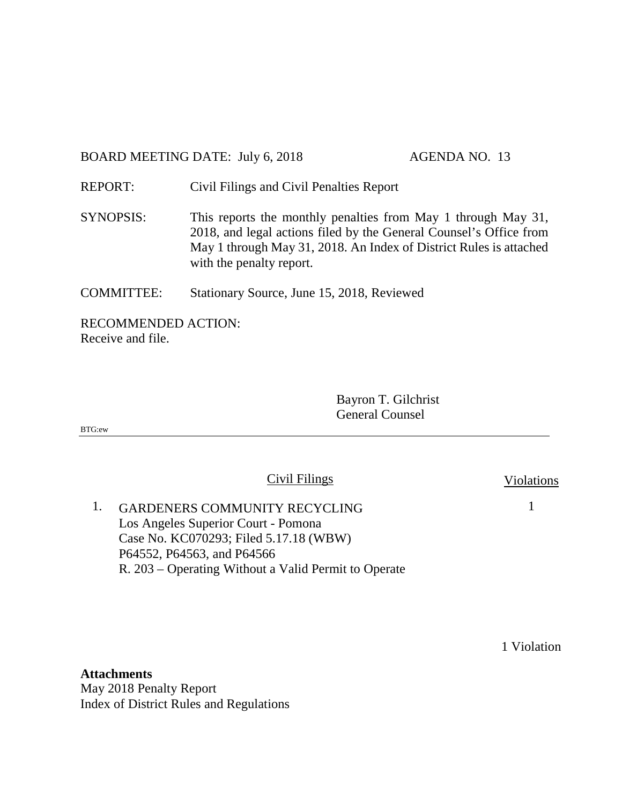BOARD MEETING DATE: July 6, 2018 AGENDA NO. 13

REPORT: Civil Filings and Civil Penalties Report

SYNOPSIS: This reports the monthly penalties from May 1 through May 31, 2018, and legal actions filed by the General Counsel's Office from May 1 through May 31, 2018. An Index of District Rules is attached with the penalty report.

COMMITTEE: Stationary Source, June 15, 2018, Reviewed

RECOMMENDED ACTION: Receive and file.

> Bayron T. Gilchrist General Counsel

BTG:ew

Civil Filings Violations

1

1. GARDENERS COMMUNITY RECYCLING Los Angeles Superior Court - Pomona Case No. KC070293; Filed 5.17.18 (WBW) P64552, P64563, and P64566 R. 203 – Operating Without a Valid Permit to Operate

1 Violation

**Attachments** May 2018 Penalty Report Index of District Rules and Regulations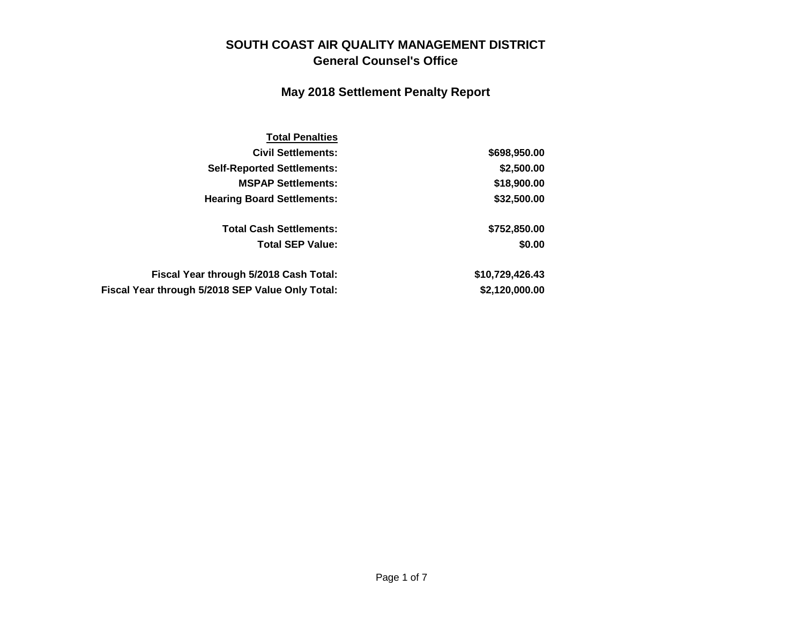### **SOUTH COAST AIR QUALITY MANAGEMENT DISTRICT General Counsel's Office**

### **May 2018 Settlement Penalty Report**

| <b>Total Penalties</b>                           |                 |
|--------------------------------------------------|-----------------|
| <b>Civil Settlements:</b>                        | \$698,950.00    |
| <b>Self-Reported Settlements:</b>                | \$2,500.00      |
| <b>MSPAP Settlements:</b>                        | \$18,900.00     |
| <b>Hearing Board Settlements:</b>                | \$32,500.00     |
| <b>Total Cash Settlements:</b>                   | \$752,850.00    |
| <b>Total SEP Value:</b>                          | \$0.00          |
| Fiscal Year through 5/2018 Cash Total:           | \$10,729,426.43 |
| Fiscal Year through 5/2018 SEP Value Only Total: | \$2,120,000.00  |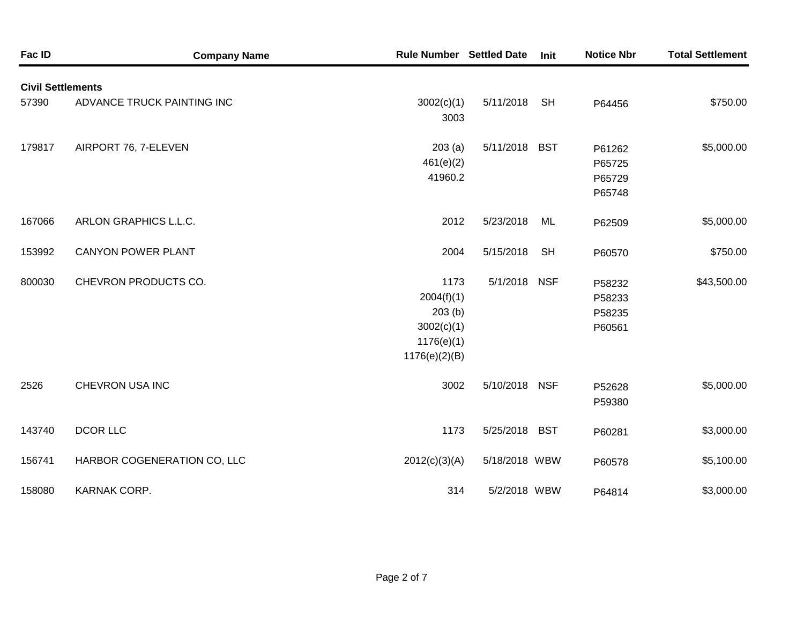| Fac ID                   | <b>Company Name</b>         | <b>Rule Number Settled Date</b>                                           |               | Init       | <b>Notice Nbr</b>                    | <b>Total Settlement</b> |
|--------------------------|-----------------------------|---------------------------------------------------------------------------|---------------|------------|--------------------------------------|-------------------------|
| <b>Civil Settlements</b> |                             |                                                                           |               |            |                                      |                         |
| 57390                    | ADVANCE TRUCK PAINTING INC  | 3002(c)(1)<br>3003                                                        | 5/11/2018     | <b>SH</b>  | P64456                               | \$750.00                |
| 179817                   | AIRPORT 76, 7-ELEVEN        | 203(a)<br>461(e)(2)<br>41960.2                                            | 5/11/2018 BST |            | P61262<br>P65725<br>P65729<br>P65748 | \$5,000.00              |
| 167066                   | ARLON GRAPHICS L.L.C.       | 2012                                                                      | 5/23/2018     | ML         | P62509                               | \$5,000.00              |
| 153992                   | <b>CANYON POWER PLANT</b>   | 2004                                                                      | 5/15/2018     | <b>SH</b>  | P60570                               | \$750.00                |
| 800030                   | CHEVRON PRODUCTS CO.        | 1173<br>2004(f)(1)<br>203(b)<br>3002(c)(1)<br>1176(e)(1)<br>1176(e)(2)(B) | 5/1/2018      | <b>NSF</b> | P58232<br>P58233<br>P58235<br>P60561 | \$43,500.00             |
| 2526                     | CHEVRON USA INC             | 3002                                                                      | 5/10/2018 NSF |            | P52628<br>P59380                     | \$5,000.00              |
| 143740                   | <b>DCOR LLC</b>             | 1173                                                                      | 5/25/2018 BST |            | P60281                               | \$3,000.00              |
| 156741                   | HARBOR COGENERATION CO, LLC | 2012(c)(3)(A)                                                             | 5/18/2018 WBW |            | P60578                               | \$5,100.00              |
| 158080                   | KARNAK CORP.                | 314                                                                       | 5/2/2018 WBW  |            | P64814                               | \$3,000.00              |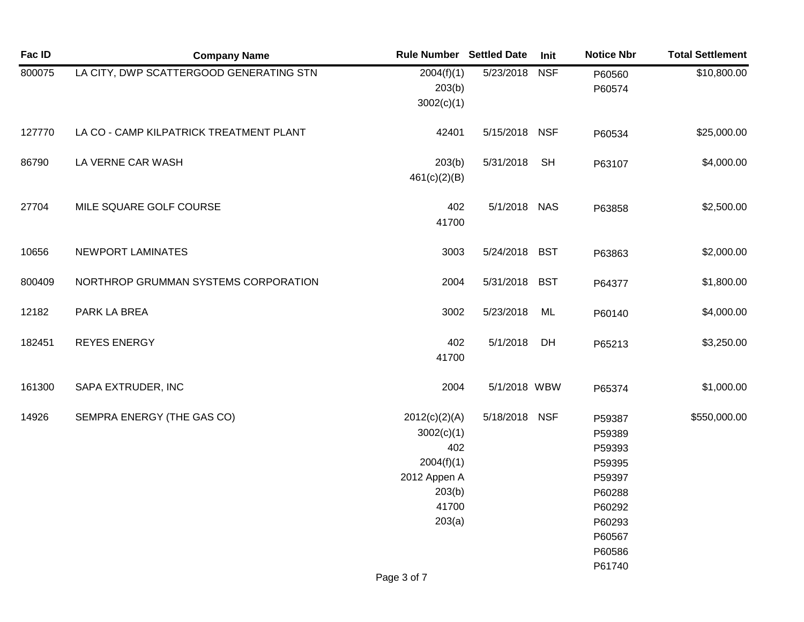| Fac ID | <b>Company Name</b>                     | <b>Rule Number Settled Date</b>                                                               |               | Init       | <b>Notice Nbr</b>                                                                                | <b>Total Settlement</b> |
|--------|-----------------------------------------|-----------------------------------------------------------------------------------------------|---------------|------------|--------------------------------------------------------------------------------------------------|-------------------------|
| 800075 | LA CITY, DWP SCATTERGOOD GENERATING STN | 2004(f)(1)<br>203(b)<br>3002(c)(1)                                                            | 5/23/2018     | <b>NSF</b> | P60560<br>P60574                                                                                 | \$10,800.00             |
| 127770 | LA CO - CAMP KILPATRICK TREATMENT PLANT | 42401                                                                                         | 5/15/2018 NSF |            | P60534                                                                                           | \$25,000.00             |
| 86790  | LA VERNE CAR WASH                       | 203(b)<br>461(c)(2)(B)                                                                        | 5/31/2018     | <b>SH</b>  | P63107                                                                                           | \$4,000.00              |
| 27704  | MILE SQUARE GOLF COURSE                 | 402<br>41700                                                                                  | 5/1/2018 NAS  |            | P63858                                                                                           | \$2,500.00              |
| 10656  | NEWPORT LAMINATES                       | 3003                                                                                          | 5/24/2018 BST |            | P63863                                                                                           | \$2,000.00              |
| 800409 | NORTHROP GRUMMAN SYSTEMS CORPORATION    | 2004                                                                                          | 5/31/2018     | <b>BST</b> | P64377                                                                                           | \$1,800.00              |
| 12182  | PARK LA BREA                            | 3002                                                                                          | 5/23/2018     | ML         | P60140                                                                                           | \$4,000.00              |
| 182451 | <b>REYES ENERGY</b>                     | 402<br>41700                                                                                  | 5/1/2018      | DH         | P65213                                                                                           | \$3,250.00              |
| 161300 | SAPA EXTRUDER, INC                      | 2004                                                                                          | 5/1/2018 WBW  |            | P65374                                                                                           | \$1,000.00              |
| 14926  | SEMPRA ENERGY (THE GAS CO)              | 2012(c)(2)(A)<br>3002(c)(1)<br>402<br>2004(f)(1)<br>2012 Appen A<br>203(b)<br>41700<br>203(a) | 5/18/2018 NSF |            | P59387<br>P59389<br>P59393<br>P59395<br>P59397<br>P60288<br>P60292<br>P60293<br>P60567<br>P60586 | \$550,000.00            |
|        |                                         | Page 3 of 7                                                                                   |               |            | P61740                                                                                           |                         |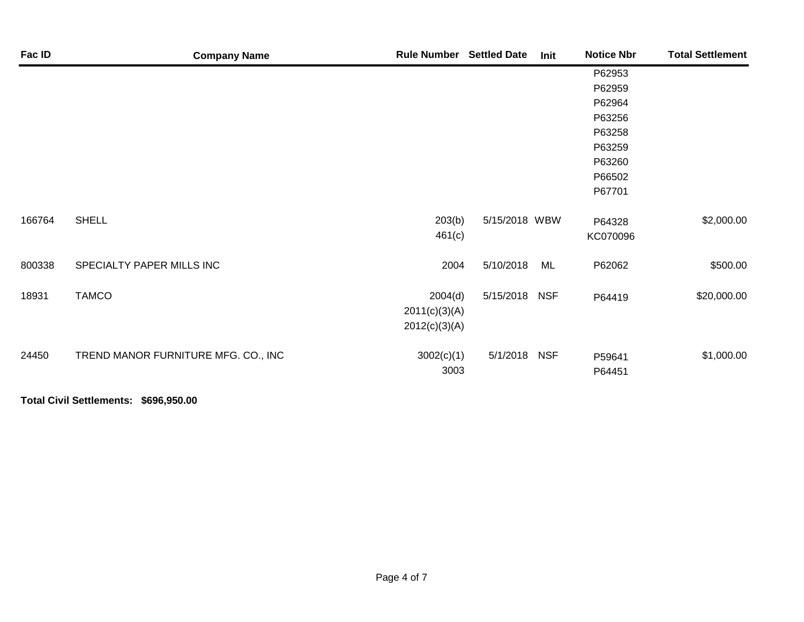| Fac ID | <b>Company Name</b>                 | <b>Rule Number Settled Date</b> |               | Init | <b>Notice Nbr</b> | <b>Total Settlement</b> |
|--------|-------------------------------------|---------------------------------|---------------|------|-------------------|-------------------------|
|        |                                     |                                 |               |      | P62953            |                         |
|        |                                     |                                 |               |      | P62959            |                         |
|        |                                     |                                 |               |      | P62964            |                         |
|        |                                     |                                 |               |      | P63256            |                         |
|        |                                     |                                 |               |      | P63258            |                         |
|        |                                     |                                 |               |      | P63259            |                         |
|        |                                     |                                 |               |      | P63260            |                         |
|        |                                     |                                 |               |      | P66502            |                         |
|        |                                     |                                 |               |      | P67701            |                         |
| 166764 | <b>SHELL</b>                        | 203(b)                          | 5/15/2018 WBW |      | P64328            | \$2,000.00              |
|        |                                     | 461(c)                          |               |      | KC070096          |                         |
| 800338 | SPECIALTY PAPER MILLS INC           | 2004                            | 5/10/2018     | ML   | P62062            | \$500.00                |
| 18931  | <b>TAMCO</b>                        | 2004(d)                         | 5/15/2018 NSF |      | P64419            | \$20,000.00             |
|        |                                     | 2011(c)(3)(A)                   |               |      |                   |                         |
|        |                                     | 2012(c)(3)(A)                   |               |      |                   |                         |
| 24450  | TREND MANOR FURNITURE MFG. CO., INC | 3002(c)(1)                      | 5/1/2018 NSF  |      | P59641            | \$1,000.00              |
|        |                                     | 3003                            |               |      | P64451            |                         |

**Total Civil Settlements: \$696,950.00**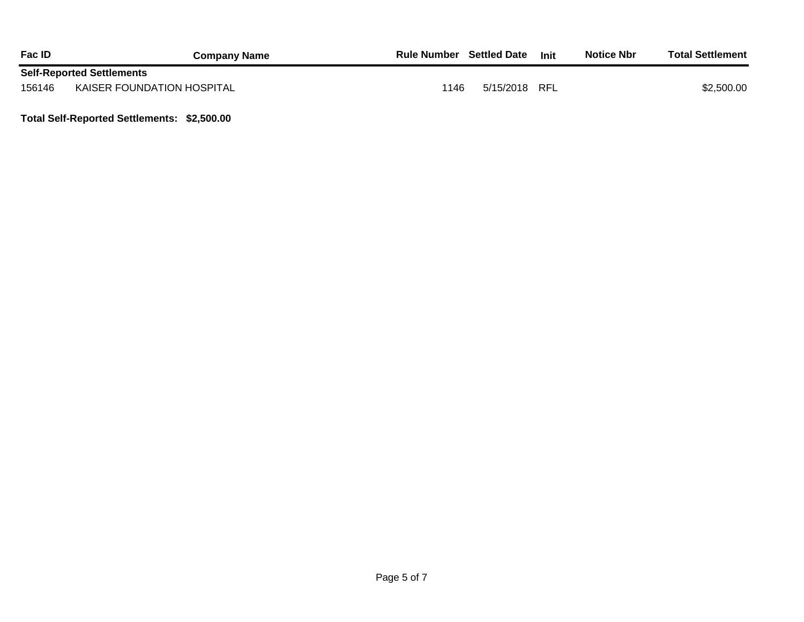| <b>Fac ID</b> | <b>Company Name</b>              | <b>Rule Number</b> | <b>Settled Date</b> | Init | <b>Notice Nbr</b> | <b>Total Settlement</b> |
|---------------|----------------------------------|--------------------|---------------------|------|-------------------|-------------------------|
|               | <b>Self-Reported Settlements</b> |                    |                     |      |                   |                         |
| 156146        | KAISER FOUNDATION HOSPITAL       | 1146               | 5/15/2018           | RFL  |                   | \$2,500.00              |

**Total Self-Reported Settlements: \$2,500.00**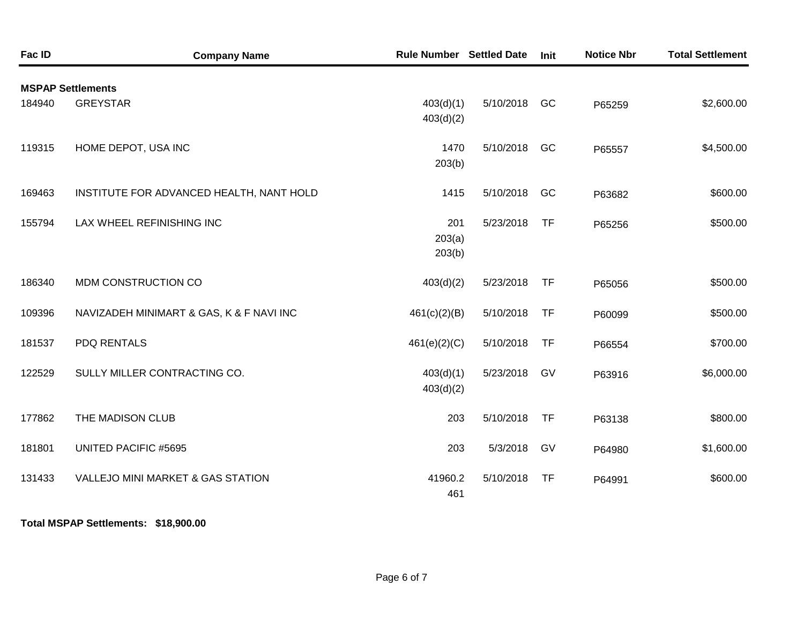| Fac ID | <b>Company Name</b>                          | <b>Rule Number</b>      | <b>Settled Date</b> | Init      | <b>Notice Nbr</b> | <b>Total Settlement</b> |
|--------|----------------------------------------------|-------------------------|---------------------|-----------|-------------------|-------------------------|
|        | <b>MSPAP Settlements</b>                     |                         |                     |           |                   |                         |
| 184940 | <b>GREYSTAR</b>                              | 403(d)(1)<br>403(d)(2)  | 5/10/2018           | GC        | P65259            | \$2,600.00              |
| 119315 | HOME DEPOT, USA INC                          | 1470<br>203(b)          | 5/10/2018           | GC        | P65557            | \$4,500.00              |
| 169463 | INSTITUTE FOR ADVANCED HEALTH, NANT HOLD     | 1415                    | 5/10/2018           | GC        | P63682            | \$600.00                |
| 155794 | LAX WHEEL REFINISHING INC                    | 201<br>203(a)<br>203(b) | 5/23/2018           | <b>TF</b> | P65256            | \$500.00                |
| 186340 | MDM CONSTRUCTION CO                          | 403(d)(2)               | 5/23/2018           | <b>TF</b> | P65056            | \$500.00                |
| 109396 | NAVIZADEH MINIMART & GAS, K & F NAVI INC     | 461(c)(2)(B)            | 5/10/2018           | <b>TF</b> | P60099            | \$500.00                |
| 181537 | <b>PDQ RENTALS</b>                           | 461(e)(2)(C)            | 5/10/2018           | <b>TF</b> | P66554            | \$700.00                |
| 122529 | SULLY MILLER CONTRACTING CO.                 | 403(d)(1)<br>403(d)(2)  | 5/23/2018           | GV        | P63916            | \$6,000.00              |
| 177862 | THE MADISON CLUB                             | 203                     | 5/10/2018           | <b>TF</b> | P63138            | \$800.00                |
| 181801 | <b>UNITED PACIFIC #5695</b>                  | 203                     | 5/3/2018            | GV        | P64980            | \$1,600.00              |
| 131433 | <b>VALLEJO MINI MARKET &amp; GAS STATION</b> | 41960.2<br>461          | 5/10/2018           | <b>TF</b> | P64991            | \$600.00                |

**Total MSPAP Settlements: \$18,900.00**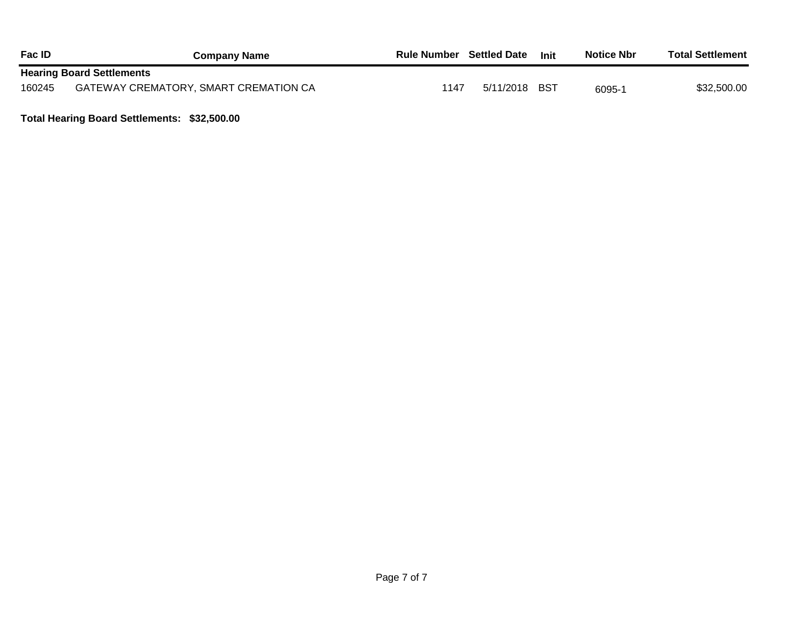| <b>Fac ID</b> | <b>Company Name</b>                   | <b>Rule Number</b> Settled Date |               | <b>Init</b> | <b>Notice Nbr</b> | <b>Total Settlement</b> |
|---------------|---------------------------------------|---------------------------------|---------------|-------------|-------------------|-------------------------|
|               | <b>Hearing Board Settlements</b>      |                                 |               |             |                   |                         |
| 160245        | GATEWAY CREMATORY, SMART CREMATION CA | 1147                            | 5/11/2018 BST |             | 6095-1            | \$32,500.00             |

**Total Hearing Board Settlements: \$32,500.00**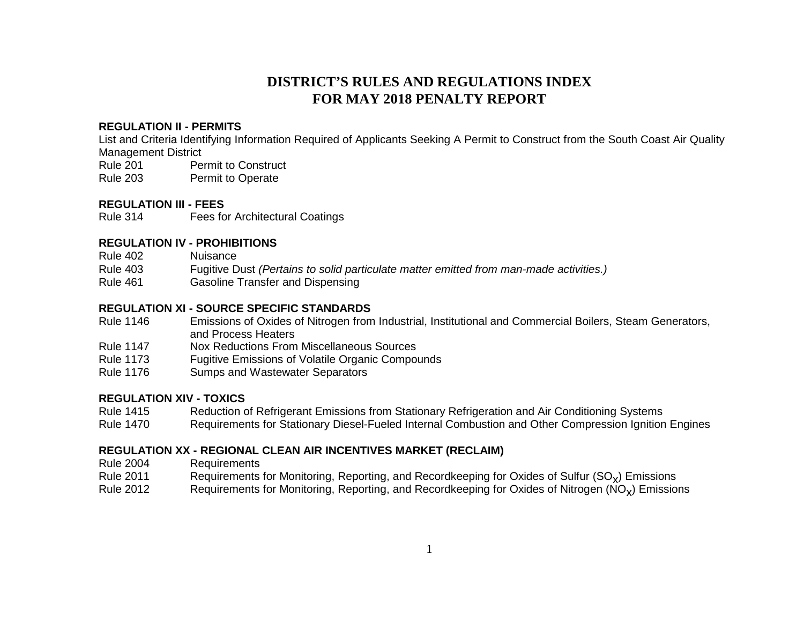### **DISTRICT'S RULES AND REGULATIONS INDEX FOR MAY 2018 PENALTY REPORT**

#### **REGULATION II - PERMITS**

List and Criteria Identifying Information Required of Applicants Seeking A Permit to Construct from the South Coast Air Quality Management District

Rule 201 Permit to Construct Rule 203 Permit to Operate

## **REGULATION III - FEES**

**Fees for Architectural Coatings** 

#### **REGULATION IV - PROHIBITIONS**

- Rule 402 Nuisance
- Rule 403 Fugitive Dust *(Pertains to solid particulate matter emitted from man-made activities.)*
- **Gasoline Transfer and Dispensing**

#### **REGULATION XI - SOURCE SPECIFIC STANDARDS**

- Rule 1146 Emissions of Oxides of Nitrogen from Industrial, Institutional and Commercial Boilers, Steam Generators, and Process Heaters
- Rule 1147 Nox Reductions From Miscellaneous Sources
- Rule 1173 Fugitive Emissions of Volatile Organic Compounds
- Rule 1176 Sumps and Wastewater Separators

#### **REGULATION XIV - TOXICS**

- Rule 1415 Reduction of Refrigerant Emissions from Stationary Refrigeration and Air Conditioning Systems
- Rule 1470 Requirements for Stationary Diesel-Fueled Internal Combustion and Other Compression Ignition Engines

#### **REGULATION XX - REGIONAL CLEAN AIR INCENTIVES MARKET (RECLAIM)**

- Rule 2004 Requirements
- Rule 2011 Requirements for Monitoring, Reporting, and Recordkeeping for Oxides of Sulfur (SO<sub>x</sub>) Emissions<br>Rule 2012 Requirements for Monitoring, Reporting, and Recordkeeping for Oxides of Nitrogen (NO<sub>x</sub>) Emissio
- Requirements for Monitoring, Reporting, and Recordkeeping for Oxides of Nitrogen ( $NO<sub>x</sub>$ ) Emissions